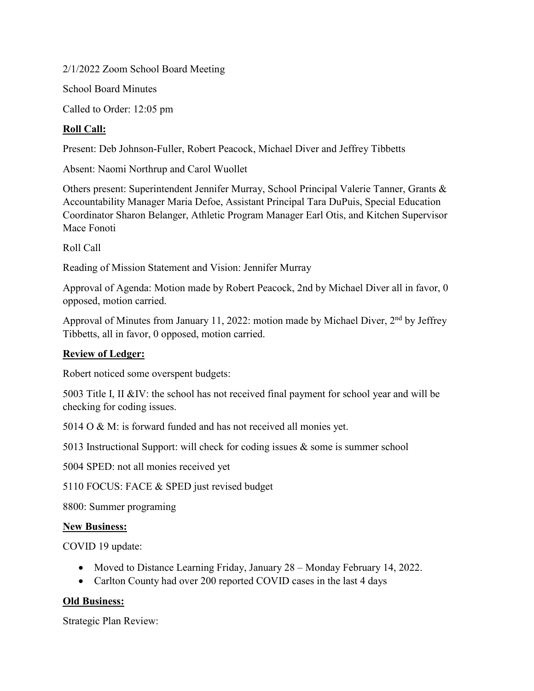2/1/2022 Zoom School Board Meeting

School Board Minutes

Called to Order: 12:05 pm

# **Roll Call:**

Present: Deb Johnson-Fuller, Robert Peacock, Michael Diver and Jeffrey Tibbetts

Absent: Naomi Northrup and Carol Wuollet

Others present: Superintendent Jennifer Murray, School Principal Valerie Tanner, Grants & Accountability Manager Maria Defoe, Assistant Principal Tara DuPuis, Special Education Coordinator Sharon Belanger, Athletic Program Manager Earl Otis, and Kitchen Supervisor Mace Fonoti

Roll Call

Reading of Mission Statement and Vision: Jennifer Murray

Approval of Agenda: Motion made by Robert Peacock, 2nd by Michael Diver all in favor, 0 opposed, motion carried.

Approval of Minutes from January 11, 2022: motion made by Michael Diver, 2<sup>nd</sup> by Jeffrey Tibbetts, all in favor, 0 opposed, motion carried.

## **Review of Ledger:**

Robert noticed some overspent budgets:

5003 Title I, II &IV: the school has not received final payment for school year and will be checking for coding issues.

5014 O & M: is forward funded and has not received all monies yet.

5013 Instructional Support: will check for coding issues & some is summer school

5004 SPED: not all monies received yet

5110 FOCUS: FACE & SPED just revised budget

8800: Summer programing

### **New Business:**

COVID 19 update:

- Moved to Distance Learning Friday, January 28 Monday February 14, 2022.
- Carlton County had over 200 reported COVID cases in the last 4 days

## **Old Business:**

Strategic Plan Review: